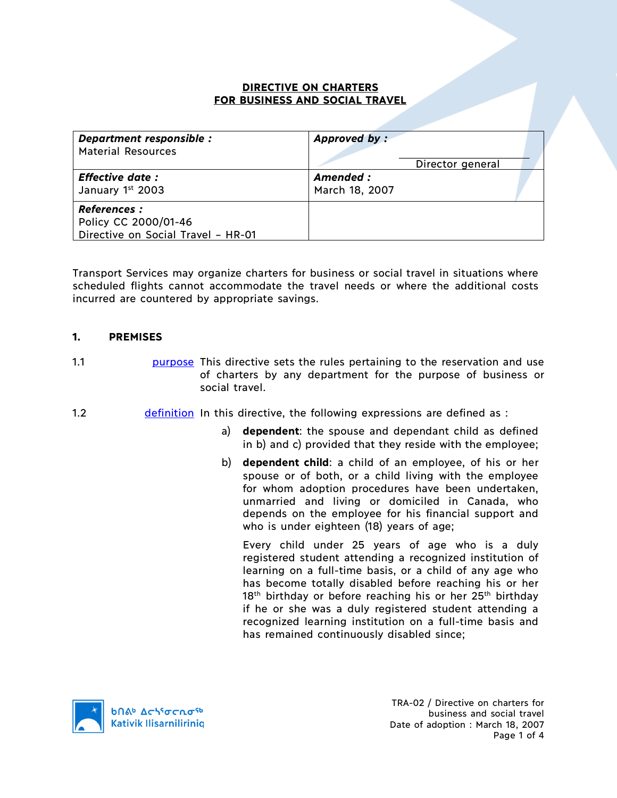### **DIRECTIVE ON CHARTERS FOR BUSINESS AND SOCIAL TRAVEL**

| Department responsible :                                                         | Approved by:     |
|----------------------------------------------------------------------------------|------------------|
| <b>Material Resources</b>                                                        | Director general |
| <b>Effective date:</b>                                                           | Amended :        |
| January 1st 2003                                                                 | March 18, 2007   |
| <b>References:</b><br>Policy CC 2000/01-46<br>Directive on Social Travel - HR-01 |                  |

Transport Services may organize charters for business or social travel in situations where scheduled flights cannot accommodate the travel needs or where the additional costs incurred are countered by appropriate savings.

## **1. PREMISES**

1.1 **1.1 purpose This directive sets the rules pertaining to the reservation and use** of charters by any department for the purpose of business or social travel.

- 1.2 definition In this directive, the following expressions are defined as :
	- a) **dependent**: the spouse and dependant child as defined in b) and c) provided that they reside with the employee;
	- b) **dependent child**: a child of an employee, of his or her spouse or of both, or a child living with the employee for whom adoption procedures have been undertaken, unmarried and living or domiciled in Canada, who depends on the employee for his financial support and who is under eighteen (18) years of age;

Every child under 25 years of age who is a duly registered student attending a recognized institution of learning on a full-time basis, or a child of any age who has become totally disabled before reaching his or her  $18<sup>th</sup>$  birthday or before reaching his or her  $25<sup>th</sup>$  birthday if he or she was a duly registered student attending a recognized learning institution on a full-time basis and has remained continuously disabled since;

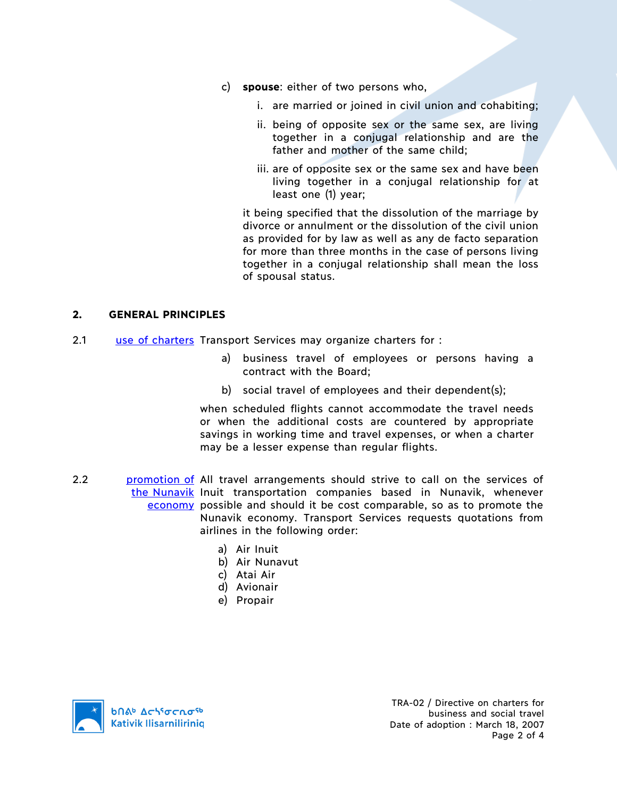- c) **spouse**: either of two persons who,
	- i. are married or joined in civil union and cohabiting;
	- ii. being of opposite sex or the same sex, are living together in a conjugal relationship and are the father and mother of the same child;
	- iii. are of opposite sex or the same sex and have been living together in a conjugal relationship for at least one (1) year;

it being specified that the dissolution of the marriage by divorce or annulment or the dissolution of the civil union as provided for by law as well as any de facto separation for more than three months in the case of persons living together in a conjugal relationship shall mean the loss of spousal status.

#### **2. GENERAL PRINCIPLES**

- 2.1 use of charters Transport Services may organize charters for :
	- a) business travel of employees or persons having a contract with the Board;
	- b) social travel of employees and their dependent(s);

when scheduled flights cannot accommodate the travel needs or when the additional costs are countered by appropriate savings in working time and travel expenses, or when a charter may be a lesser expense than regular flights.

- 2.2 **promotion of All travel arrangements should strive to call on the services of** the Nunavik Inuit transportation companies based in Nunavik, whenever economy possible and should it be cost comparable, so as to promote the Nunavik economy. Transport Services requests quotations from airlines in the following order:
	- a) Air Inuit
	- b) Air Nunavut
	- c) Atai Air
	- d) Avionair
	- e) Propair

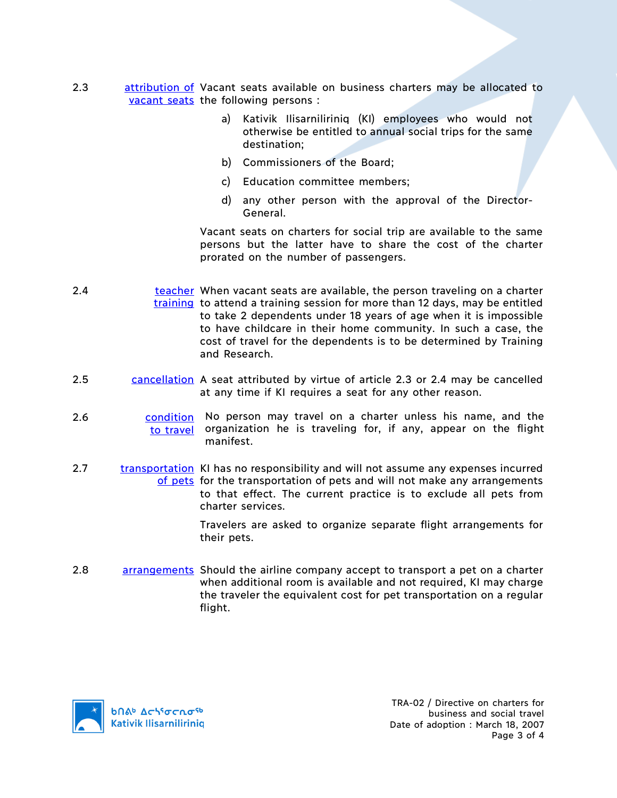- 2.3 attribution of Vacant seats available on business charters may be allocated to vacant seats the following persons :
	- a) Kativik Ilisarniliriniq (KI) employees who would not otherwise be entitled to annual social trips for the same destination;
	- b) Commissioners of the Board;
	- c) Education committee members;
	- d) any other person with the approval of the Director-General.

Vacant seats on charters for social trip are available to the same persons but the latter have to share the cost of the charter prorated on the number of passengers.

- 2.4 teacher When vacant seats are available, the person traveling on a charter training to attend a training session for more than 12 days, may be entitled to take 2 dependents under 18 years of age when it is impossible to have childcare in their home community. In such a case, the cost of travel for the dependents is to be determined by Training and Research.
- 2.5 cancellation A seat attributed by virtue of article 2.3 or 2.4 may be cancelled at any time if KI requires a seat for any other reason.
- 2.6 condition No person may travel on a charter unless his name, and the to travel organization he is traveling for, if any, appear on the flight manifest.
- 2.7 transportation KI has no responsibility and will not assume any expenses incurred of pets for the transportation of pets and will not make any arrangements to that effect. The current practice is to exclude all pets from charter services.

Travelers are asked to organize separate flight arrangements for their pets.

2.8 arrangements Should the airline company accept to transport a pet on a charter when additional room is available and not required, KI may charge the traveler the equivalent cost for pet transportation on a regular flight.